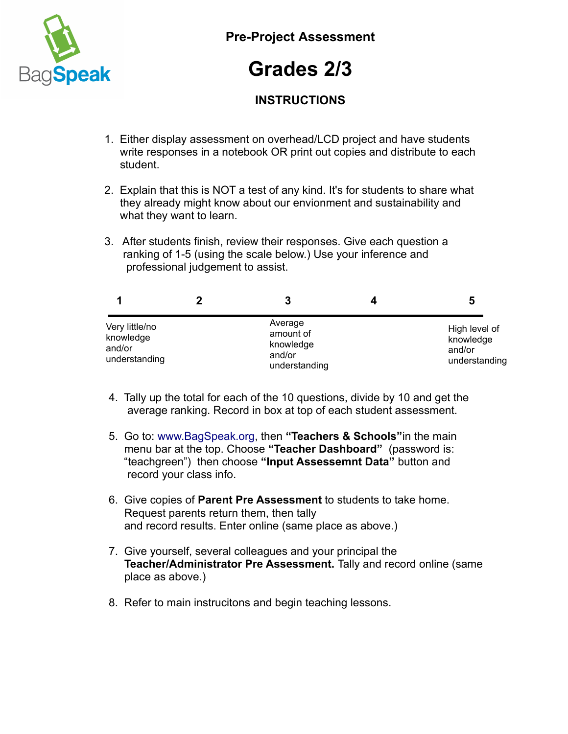

**Pre-Project Assessment**

## **Grades 2/3**

## **INSTRUCTIONS**

- 1. Either display assessment on overhead/LCD project and have students write responses in a notebook OR print out copies and distribute to each student.
- 2. Explain that this is NOT a test of any kind. It's for students to share what they already might know about our envionment and sustainability and what they want to learn.
- 3. After students finish, review their responses. Give each question a ranking of 1-5 (using the scale below.) Use your inference and professional judgement to assist.

|                                                        | 3                                                            | 5                                                     |
|--------------------------------------------------------|--------------------------------------------------------------|-------------------------------------------------------|
| Very little/no<br>knowledge<br>and/or<br>understanding | Average<br>amount of<br>knowledge<br>and/or<br>understanding | High level of<br>knowledge<br>and/or<br>understanding |

- 4. Tally up the total for each of the 10 questions, divide by 10 and get the average ranking. Record in box at top of each student assessment.
- 5. Go to: [www.BagSpeak.org,](http://www.BagSpeak.org/) then **"Teachers & Schools"**in the main menu bar at the top. Choose **"Teacher Dashboard"** (password is: "teachgreen") then choose **"Input Assessemnt Data"** button and record your class info.
- 6. Give copies of **Parent Pre Assessment** to students to take home. Request parents return them, then tally and record results. Enter online (same place as above.)
- 7. Give yourself, several colleagues and your principal the  **Teacher/Administrator Pre Assessment.** Tally and record online (same place as above.)
- 8. Refer to main instrucitons and begin teaching lessons.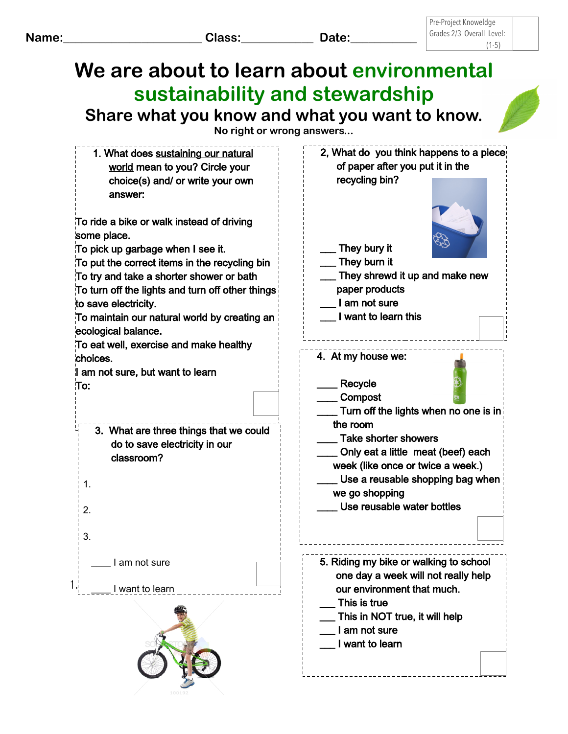